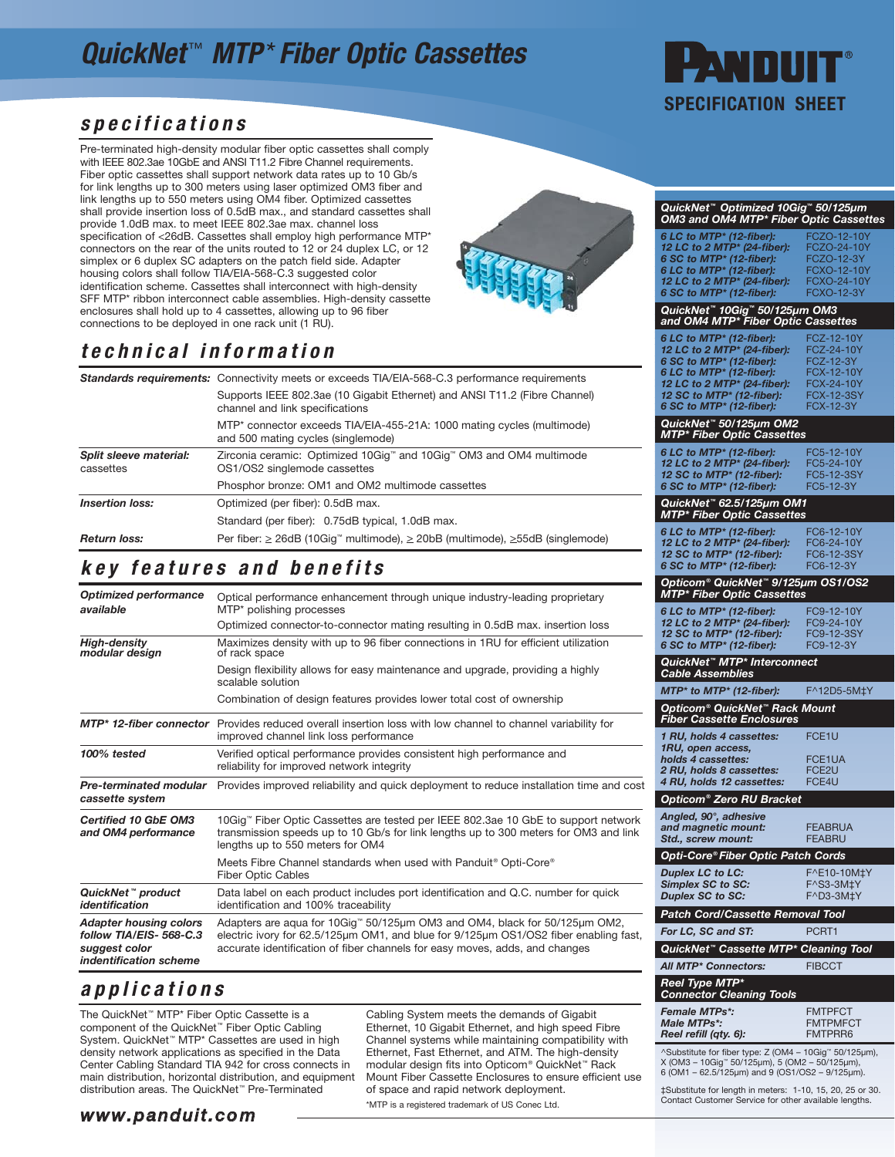## QuickNet<sup>™</sup> MTP<sup>\*</sup> Fiber Optic Cassettes

# h SPECIFICATION SHEET

QuickNet™ Optimized 10Gig™ 50/125μm OM3 and OM4 MTP\* Fiber Optic Cassettes

**6 LC to MTP\* (12-fiber):** FCZO-12-10Y<br>**12 LC to 2 MTP\* (24-fiber):** FCZO-24-10Y **6 SC to MTP\* (12-fiber):** FCZO-12-3Y<br>**6 LC to MTP\* (12-fiber):** FCXO-12-10Y **12 LC to 2 MTP\* (24-fiber):** FCXO-24-10Y<br>**6 SC to MTP\* (12-fiber):** FCXO-12-3Y

QuickNet™ 10Gig™ 50/125μm OM3<br>and OM4 MTP\* Fiber Optic Cassettes 6 LC to MTP\* (12-fiber): FCZ-12-10Y<br>12 LC to 2 MTP\* (24-fiber): FCZ-24-10Y **12 LC to 2 MTP\* (24-fiber):** FCZ-24-10<br>**6 SC to MTP\* (12-fiber):** FCZ-12-3Y **6 SC to MTP\* (12-fiber):** FCZ-12-3Y<br>**6 LC to MTP\* (12-fiber):** FCX-12-10Y **12 LC to 2 MTP\* (24-fiber):** FCX-24-10Y<br>**12 SC to MTP\* (12-fiber):** FCX-12-3SY 6 SC to MTP\* (12-fiber): FCX-12-3Y

6 SC to MTP\* (12-fiber):

### specifications

Pre-terminated high-density modular fiber optic cassettes shall comply with IEEE 802.3ae 10GbE and ANSI T11.2 Fibre Channel requirements. Fiber optic cassettes shall support network data rates up to 10 Gb/s for link lengths up to 300 meters using laser optimized OM3 fiber and link lengths up to 550 meters using OM4 fiber. Optimized cassettes shall provide insertion loss of 0.5dB max., and standard cassettes shall provide 1.0dB max. to meet IEEE 802.3ae max. channel loss specification of <26dB. Cassettes shall employ high performance MTP\* connectors on the rear of the units routed to 12 or 24 duplex LC, or 12 simplex or 6 duplex SC adapters on the patch field side. Adapter housing colors shall follow TIA/EIA-568-C.3 suggested color identification scheme. Cassettes shall interconnect with high-density SFF MTP\* ribbon interconnect cable assemblies. High-density cassette enclosures shall hold up to 4 cassettes, allowing up to 96 fiber connections to be deployed in one rack unit (1 RU).



### technical information

|                                     | <b>Standards requirements:</b> Connectivity meets or exceeds TIA/EIA-568-C.3 performance requirements         |  |
|-------------------------------------|---------------------------------------------------------------------------------------------------------------|--|
|                                     | Supports IEEE 802.3ae (10 Gigabit Ethernet) and ANSI T11.2 (Fibre Channel)<br>channel and link specifications |  |
|                                     | MTP* connector exceeds TIA/EIA-455-21A: 1000 mating cycles (multimode)<br>and 500 mating cycles (singlemode)  |  |
| Split sleeve material:<br>cassettes | Zirconia ceramic: Optimized 10Giq™ and 10Giq™ OM3 and OM4 multimode<br>OS1/OS2 singlemode cassettes           |  |
|                                     | Phosphor bronze: OM1 and OM2 multimode cassettes                                                              |  |
| <b>Insertion loss:</b>              | Optimized (per fiber): 0.5dB max.                                                                             |  |
|                                     | Standard (per fiber): 0.75dB typical, 1.0dB max.                                                              |  |
| <b>Return loss:</b>                 | Per fiber: $\geq$ 26dB (10Gig <sup>T</sup> multimode), $\geq$ 20bB (multimode), $\geq$ 55dB (singlemode)      |  |

### key features and benefits

| <b>Optimized performance</b><br>available                                                          | Optical performance enhancement through unique industry-leading proprietary<br>MTP* polishing processes                                                                                                                                           |
|----------------------------------------------------------------------------------------------------|---------------------------------------------------------------------------------------------------------------------------------------------------------------------------------------------------------------------------------------------------|
|                                                                                                    | Optimized connector-to-connector mating resulting in 0.5dB max. insertion loss                                                                                                                                                                    |
| <b>High-density</b><br>modular design                                                              | Maximizes density with up to 96 fiber connections in 1RU for efficient utilization<br>of rack space                                                                                                                                               |
|                                                                                                    | Design flexibility allows for easy maintenance and upgrade, providing a highly<br>scalable solution                                                                                                                                               |
|                                                                                                    | Combination of design features provides lower total cost of ownership                                                                                                                                                                             |
|                                                                                                    | MTP <sup>*</sup> 12-fiber connector Provides reduced overall insertion loss with low channel to channel variability for<br>improved channel link loss performance                                                                                 |
| 100% tested                                                                                        | Verified optical performance provides consistent high performance and<br>reliability for improved network integrity                                                                                                                               |
| cassette system                                                                                    | Pre-terminated modular Provides improved reliability and quick deployment to reduce installation time and cost                                                                                                                                    |
| <b>Certified 10 GbE OM3</b><br>and OM4 performance                                                 | 10Gig™ Fiber Optic Cassettes are tested per IEEE 802.3ae 10 GbE to support network<br>transmission speeds up to 10 Gb/s for link lengths up to 300 meters for OM3 and link<br>lengths up to 550 meters for OM4                                    |
|                                                                                                    | Meets Fibre Channel standards when used with Panduit® Opti-Core®<br><b>Fiber Optic Cables</b>                                                                                                                                                     |
| QuickNet™ product<br>identification                                                                | Data label on each product includes port identification and Q.C. number for quick<br>identification and 100% traceability                                                                                                                         |
| <b>Adapter housing colors</b><br>follow TIA/EIS-568-C.3<br>suggest color<br>indentification scheme | Adapters are agua for 10Gig™ 50/125µm OM3 and OM4, black for 50/125µm OM2,<br>electric ivory for 62.5/125µm OM1, and blue for 9/125µm OS1/OS2 fiber enabling fast,<br>accurate identification of fiber channels for easy moves, adds, and changes |

#### applications

The QuickNet™ MTP\* Fiber Optic Cassette is a component of the QuickNet™ Fiber Optic Cabling System. QuickNet™ MTP\* Cassettes are used in high density network applications as specified in the Data Center Cabling Standard TIA 942 for cross connects in main distribution, horizontal distribution, and equipment distribution areas. The QuickNet™ Pre-Terminated

Cabling System meets the demands of Gigabit Ethernet, 10 Gigabit Ethernet, and high speed Fibre Channel systems while maintaining compatibility with Ethernet, Fast Ethernet, and ATM. The high-density modular design fits into Opticom® QuickNet™ Rack Mount Fiber Cassette Enclosures to ensure efficient use of space and rapid network deployment. \*MTP is a registered trademark of US Conec Ltd.

| QuickNet™ 50/125µm OM2<br><b>MTP* Fiber Optic Cassettes</b>                                                                                                             |                                                             |  |  |
|-------------------------------------------------------------------------------------------------------------------------------------------------------------------------|-------------------------------------------------------------|--|--|
| 6 LC to MTP* (12-fiber):<br>12 LC to 2 MTP* (24-fiber):<br>12 SC to MTP* (12-fiber):<br>6 SC to MTP* (12-fiber):                                                        | FC5-12-10Y<br>FC5-24-10Y<br>FC5-12-3SY<br>FC5-12-3Y         |  |  |
| QuickNet™ 62.5/125µm OM1<br>MTP* Fiber Optic Cassettes                                                                                                                  |                                                             |  |  |
| 6 LC to MTP* (12-fiber):<br>12 LC to 2 MTP* (24-fiber):<br>12 SC to MTP* (12-fiber):<br>6 SC to MTP* (12-fiber):                                                        | FC6-12-10Y<br>FC6-24-10Y<br>FC6-12-3SY<br>FC6-12-3Y         |  |  |
| Opticom® QuickNet™ 9/125µm OS1/OS2<br><b>MTP* Fiber Optic Cassettes</b>                                                                                                 |                                                             |  |  |
| 6 LC to MTP* (12-fiber):<br>12 LC to 2 MTP* (24-fiber):<br>12 SC to MTP* (12-fiber):<br>6 SC to MTP* (12-fiber):                                                        | FC9-12-10Y<br>FC9-24-10Y<br>FC9-12-3SY<br>FC9-12-3Y         |  |  |
| QuickNet <sup>™</sup> MTP* Interconnect<br><b>Cable Assemblies</b>                                                                                                      |                                                             |  |  |
| MTP* to MTP* (12-fiber):                                                                                                                                                | F^12D5-5M‡Y                                                 |  |  |
| Opticom <sup>®</sup> QuickNet <sup>™</sup> Rack Mount<br><b>Fiber Cassette Enclosures</b>                                                                               |                                                             |  |  |
| 1 RU, holds 4 cassettes:<br>1RU, open access,<br>holds 4 cassettes:<br>2 RU, holds 8 cassettes:<br>4 RU, holds 12 cassettes:                                            | FCE <sub>1</sub> U<br>FCE1UA<br>FCE <sub>2</sub> U<br>FCE4U |  |  |
| Opticom <sup>®</sup> Zero RU Bracket                                                                                                                                    |                                                             |  |  |
| Angled, 90°, adhesive<br>and magnetic mount:<br>Std., screw mount:                                                                                                      | <b>FEABRUA</b><br><b>FEABRU</b>                             |  |  |
| Opti-Core® Fiber Optic Patch Cords                                                                                                                                      |                                                             |  |  |
| <b>Duplex LC to LC:</b><br><b>Simplex SC to SC:</b><br><b>Duplex SC to SC:</b>                                                                                          | F^E10-10M‡Y<br>F^S3-3M±Y<br>$F^{\wedge}D3$ -3M‡Y            |  |  |
| Patch Cord/Cassette Removal Tool                                                                                                                                        |                                                             |  |  |
| For LC, SC and ST:                                                                                                                                                      | PCRT1                                                       |  |  |
| QuickNet" Cassette MTP* Cleaning Tool                                                                                                                                   |                                                             |  |  |
| All MTP* Connectors:<br>Reel Type MTP*                                                                                                                                  | <b>FIBCCT</b>                                               |  |  |
| <b>Connector Cleaning Tools</b>                                                                                                                                         |                                                             |  |  |
| <b>Female MTPs*:</b><br>Male MTPs*:<br>Reel refill (qty. 6):                                                                                                            | <b>FMTPFCT</b><br><b>FMTPMFCT</b><br><b>FMTPRR6</b>         |  |  |
| ^Substitute for fiber type: Z (OM4 - 10Gig <sup>™</sup> 50/125µm),<br>X (ОМ3 – 10Gig™ 50/125µm), 5 (ОМ2 – 50/125µm),<br>6 (ОМ1 – 62.5/125µm) and 9 (ОS1/OS2 – 9/125µm). |                                                             |  |  |
| $+$ Cubotitute for length in meters: $1,10,15,20,25$ or 20                                                                                                              |                                                             |  |  |

peassance for length in meters: 1-10, 15, 20, 25 or 30.<br>Contact Customer Service for other available lengths.

#### www.panduit.com